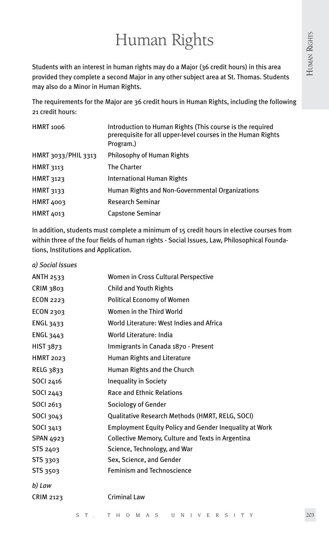# Human Rights

Students with an interest in human rights may do a Major (36 credit hours) in this area provided they complete a second Major in any other subject area at St. Thomas. Students may also do a Minor in Human Rights.

The requirements for the Major are 36 credit hours in Human Rights, including the following 21 credit hours:

| <b>HMRT 1006</b>    | Introduction to Human Rights (This course is the required<br>prerequisite for all upper-level courses in the Human Rights<br>Program.) |
|---------------------|----------------------------------------------------------------------------------------------------------------------------------------|
| HMRT 3033/PHIL 3313 | Philosophy of Human Rights                                                                                                             |
| <b>HMRT 3113</b>    | <b>The Charter</b>                                                                                                                     |
| <b>HMRT 3123</b>    | International Human Rights                                                                                                             |
| <b>HMRT 3133</b>    | Human Rights and Non-Governmental Organizations                                                                                        |
| <b>HMRT 4003</b>    | <b>Research Seminar</b>                                                                                                                |
| HMRT 4013           | <b>Capstone Seminar</b>                                                                                                                |

In addition, students must complete a minimum of 15 credit hours in elective courses from within three of the four fields of human rights - Social Issues, Law, Philosophical Foundations, Institutions and Application.

| a) Social Issues |                                                               |
|------------------|---------------------------------------------------------------|
| <b>ANTH 2533</b> | Women in Cross Cultural Perspective                           |
| CRIM 3803        | <b>Child and Youth Rights</b>                                 |
| <b>ECON 2223</b> | <b>Political Economy of Women</b>                             |
| ECON 2303        | Women in the Third World                                      |
| <b>ENGL 3433</b> | World Literature: West Indies and Africa                      |
| <b>ENGL 3443</b> | World Literature: India                                       |
| HIST 3873        | Immigrants in Canada 1870 - Present                           |
| <b>HMRT 2023</b> | <b>Human Rights and Literature</b>                            |
| <b>RELG 3833</b> | Human Rights and the Church                                   |
| SOCI 2416        | Inequality in Society                                         |
| <b>SOCI 2443</b> | <b>Race and Ethnic Relations</b>                              |
| <b>SOCI 2613</b> | Sociology of Gender                                           |
| SOCI 3043        | Qualitative Research Methods (HMRT, RELG, SOCI)               |
| SOCI 3413        | <b>Employment Equity Policy and Gender Inequality at Work</b> |
| <b>SPAN 4923</b> | Collective Memory, Culture and Texts in Argentina             |
| STS 2403         | Science, Technology, and War                                  |
| STS 3303         | Sex, Science, and Gender                                      |
| <b>STS 3503</b>  | <b>Feminism and Technoscience</b>                             |
| b) Law           |                                                               |
| <b>CRIM 2123</b> | <b>Criminal Law</b>                                           |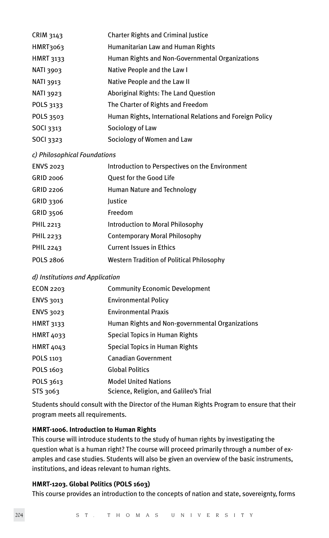| CRIM 3143        | <b>Charter Rights and Criminal Justice</b>               |
|------------------|----------------------------------------------------------|
| HMRT3063         | Humanitarian Law and Human Rights                        |
| <b>HMRT 3133</b> | Human Rights and Non-Governmental Organizations          |
| NATI 3903        | Native People and the Law I                              |
| <b>NATI 3913</b> | Native People and the Law II                             |
| NATI 3923        | Aboriginal Rights: The Land Question                     |
| POLS 3133        | The Charter of Rights and Freedom                        |
| POLS 3503        | Human Rights, International Relations and Foreign Policy |
| <b>SOCI 3313</b> | Sociology of Law                                         |
| SOCI 3323        | Sociology of Women and Law                               |
|                  |                                                          |

#### *c) Philosophical Foundations*

| <b>ENVS 2023</b> | Introduction to Perspectives on the Environment  |
|------------------|--------------------------------------------------|
| GRID 2006        | Quest for the Good Life                          |
| GRID 2206        | Human Nature and Technology                      |
| GRID 3306        | Justice                                          |
| <b>GRID 3506</b> | Freedom                                          |
| PHIL 2213        | <b>Introduction to Moral Philosophy</b>          |
| PHIL 2233        | <b>Contemporary Moral Philosophy</b>             |
| PHIL 2243        | <b>Current Issues in Ethics</b>                  |
| POLS 2806        | <b>Western Tradition of Political Philosophy</b> |
|                  |                                                  |

## *d) Institutions and Application*

| ECON 2203        | <b>Community Economic Development</b>           |
|------------------|-------------------------------------------------|
| <b>ENVS 3013</b> | <b>Environmental Policy</b>                     |
| ENVS 3023        | <b>Environmental Praxis</b>                     |
| <b>HMRT 3133</b> | Human Rights and Non-governmental Organizations |
| <b>HMRT 4033</b> | Special Topics in Human Rights                  |
| <b>HMRT 4043</b> | Special Topics in Human Rights                  |
| POLS 1103        | <b>Canadian Government</b>                      |
| POLS 1603        | <b>Global Politics</b>                          |
| POLS 3613        | <b>Model United Nations</b>                     |
| STS 3063         | Science, Religion, and Galileo's Trial          |

Students should consult with the Director of the Human Rights Program to ensure that their program meets all requirements.

# **HMRT-1006. Introduction to Human Rights**

This course will introduce students to the study of human rights by investigating the question what is a human right? The course will proceed primarily through a number of examples and case studies. Students will also be given an overview of the basic instruments, institutions, and ideas relevant to human rights.

# **HMRT-1203. Global Politics (POLS 1603)**

This course provides an introduction to the concepts of nation and state, sovereignty, forms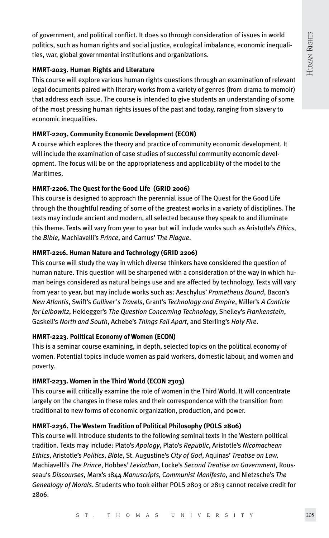of government, and political conflict. It does so through consideration of issues in world politics, such as human rights and social justice, ecological imbalance, economic inequalities, war, global governmental institutions and organizations.

## **HMRT-2023. Human Rights and Literature**

This course will explore various human rights questions through an examination of relevant legal documents paired with literary works from a variety of genres (from drama to memoir) that address each issue. The course is intended to give students an understanding of some of the most pressing human rights issues of the past and today, ranging from slavery to economic inequalities.

# **HMRT-2203. Community Economic Development (ECON)**

A course which explores the theory and practice of community economic development. It will include the examination of case studies of successful community economic development. The focus will be on the appropriateness and applicability of the model to the Maritimes.

# **HMRT-2206. The Quest for the Good Life (GRID 2006)**

This course is designed to approach the perennial issue of The Quest for the Good Life through the thoughtful reading of some of the greatest works in a variety of disciplines. The texts may include ancient and modern, all selected because they speak to and illuminate this theme. Texts will vary from year to year but will include works such as Aristotle's *Ethics*, the *Bible*, Machiavelli's *Prince*, and Camus' *The Plague*.

# **HMRT-2216. Human Nature and Technology (GRID 2206)**

This course will study the way in which diverse thinkers have considered the question of human nature. This question will be sharpened with a consideration of the way in which human beings considered as natural beings use and are affected by technology. Texts will vary from year to year, but may include works such as: Aeschylus' *Prometheus Bound*, Bacon's *New Atlantis*, Swift's *Gulliver's Travels*, Grant's *Technology and Empire*, Miller's *A Canticle for Leibowitz*, Heidegger's *The Question Concerning Technology*, Shelley's *Frankenstein*, Gaskell's *North and South*, Achebe's *Things Fall Apart*, and Sterling's *Holy Fire*.

## **HMRT-2223. Political Economy of Women (ECON)**

This is a seminar course examining, in depth, selected topics on the political economy of women. Potential topics include women as paid workers, domestic labour, and women and poverty.

# **HMRT-2233. Women in the Third World (ECON 2303)**

This course will critically examine the role of women in the Third World. It will concentrate largely on the changes in these roles and their correspondence with the transition from traditional to new forms of economic organization, production, and power.

# **HMRT-2236. The Western Tradition of Political Philosophy (POLS 2806)**

This course will introduce students to the following seminal texts in the Western political tradition. Texts may include: Plato's *Apology*, Plato's *Republic*, Aristotle's *Nicomachean Ethics*, Aristotle's *Politics*, *Bible*, St. Augustine's *City of God*, Aquinas' *Treatise on Law,*  Machiavelli's *The Prince*, Hobbes' *Leviathan*, Locke's *Second Treatise on Government,* Rousseau's *Discourses*, Marx's 1844 *Manuscripts*, C*ommunist Manifesto*, and Nietzsche's *The Genealogy of Morals*. Students who took either POLS 2803 or 2813 cannot receive credit for 2806.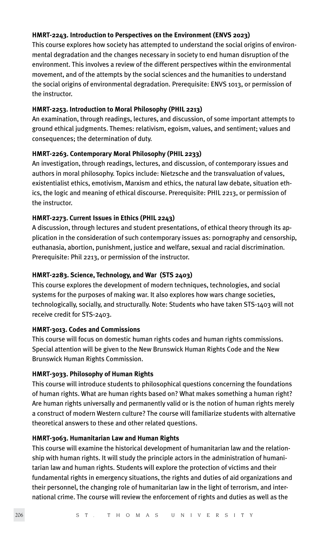## **HMRT-2243. Introduction to Perspectives on the Environment (ENVS 2023)**

This course explores how society has attempted to understand the social origins of environmental degradation and the changes necessary in society to end human disruption of the environment. This involves a review of the different perspectives within the environmental movement, and of the attempts by the social sciences and the humanities to understand the social origins of environmental degradation. Prerequisite: ENVS 1013, or permission of the instructor.

## **HMRT-2253. Introduction to Moral Philosophy (PHIL 2213)**

An examination, through readings, lectures, and discussion, of some important attempts to ground ethical judgments. Themes: relativism, egoism, values, and sentiment; values and consequences; the determination of duty.

## **HMRT-2263. Contemporary Moral Philosophy (PHIL 2233)**

An investigation, through readings, lectures, and discussion, of contemporary issues and authors in moral philosophy. Topics include: Nietzsche and the transvaluation of values, existentialist ethics, emotivism, Marxism and ethics, the natural law debate, situation ethics, the logic and meaning of ethical discourse. Prerequisite: PHIL 2213, or permission of the instructor.

## **HMRT-2273. Current Issues in Ethics (PHIL 2243)**

A discussion, through lectures and student presentations, of ethical theory through its application in the consideration of such contemporary issues as: pornography and censorship, euthanasia, abortion, punishment, justice and welfare, sexual and racial discrimination. Prerequisite: Phil 2213, or permission of the instructor.

## **HMRT-2283. Science, Technology, and War (STS 2403)**

This course explores the development of modern techniques, technologies, and social systems for the purposes of making war. It also explores how wars change societies, technologically, socially, and structurally. Note: Students who have taken STS-1403 will not receive credit for STS-2403.

## **HMRT-3013. Codes and Commissions**

This course will focus on domestic human rights codes and human rights commissions. Special attention will be given to the New Brunswick Human Rights Code and the New Brunswick Human Rights Commission.

## **HMRT-3033. Philosophy of Human Rights**

This course will introduce students to philosophical questions concerning the foundations of human rights. What are human rights based on? What makes something a human right? Are human rights universally and permanently valid or is the notion of human rights merely a construct of modern Western culture? The course will familiarize students with alternative theoretical answers to these and other related questions.

## **HMRT-3063. Humanitarian Law and Human Rights**

This course will examine the historical development of humanitarian law and the relationship with human rights. It will study the principle actors in the administration of humanitarian law and human rights. Students will explore the protection of victims and their fundamental rights in emergency situations, the rights and duties of aid organizations and their personnel, the changing role of humanitarian law in the light of terrorism, and international crime. The course will review the enforcement of rights and duties as well as the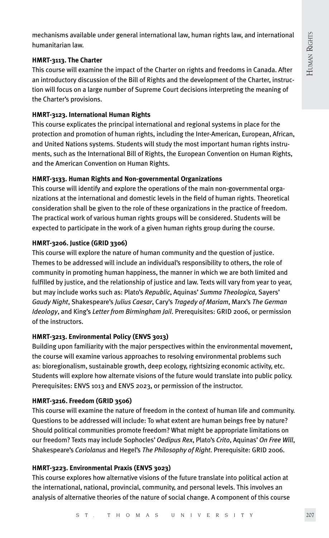mechanisms available under general international law, human rights law, and international humanitarian law.

# **HMRT-3113. The Charter**

This course will examine the impact of the Charter on rights and freedoms in Canada. After an introductory discussion of the Bill of Rights and the development of the Charter, instruction will focus on a large number of Supreme Court decisions interpreting the meaning of the Charter's provisions.

## **HMRT-3123. International Human Rights**

This course explicates the principal international and regional systems in place for the protection and promotion of human rights, including the Inter-American, European, African, and United Nations systems. Students will study the most important human rights instruments, such as the International Bill of Rights, the European Convention on Human Rights, and the American Convention on Human Rights.

## **HMRT-3133. Human Rights and Non-governmental Organizations**

This course will identify and explore the operations of the main non-governmental organizations at the international and domestic levels in the field of human rights. Theoretical consideration shall be given to the role of these organizations in the practice of freedom. The practical work of various human rights groups will be considered. Students will be expected to participate in the work of a given human rights group during the course.

## **HMRT-3206. Justice (GRID 3306)**

This course will explore the nature of human community and the question of justice. Themes to be addressed will include an individual's responsibility to others, the role of community in promoting human happiness, the manner in which we are both limited and fulfilled by justice, and the relationship of justice and law. Texts will vary from year to year, but may include works such as: Plato's *Republic*, Aquinas' *Summa Theologica,* Sayers' *Gaudy Night*, Shakespeare's *Julius Caesar*, Cary's *Tragedy of Mariam*, Marx's *The German Ideology*, and King's *Letter from Birmingham Jail*. Prerequisites: GRID 2006, or permission of the instructors.

# **HMRT-3213. Environmental Policy (ENVS 3013)**

Building upon familiarity with the major perspectives within the environmental movement, the course will examine various approaches to resolving environmental problems such as: bioregionalism, sustainable growth, deep ecology, rightsizing economic activity, etc. Students will explore how alternate visions of the future would translate into public policy. Prerequisites: ENVS 1013 and ENVS 2023, or permission of the instructor.

## **HMRT-3216. Freedom (GRID 3506)**

This course will examine the nature of freedom in the context of human life and community. Questions to be addressed will include: To what extent are human beings free by nature? Should political communities promote freedom? What might be appropriate limitations on our freedom? Texts may include Sophocles' *Oedipus Rex*, Plato's *Crito*, Aquinas' *On Free Will*, Shakespeare's *Coriolanus* and Hegel's *The Philosophy of Right.* Prerequisite: GRID 2006.

## **HMRT-3223. Environmental Praxis (ENVS 3023)**

This course explores how alternative visions of the future translate into political action at the international, national, provincial, community, and personal levels. This involves an analysis of alternative theories of the nature of social change. A component of this course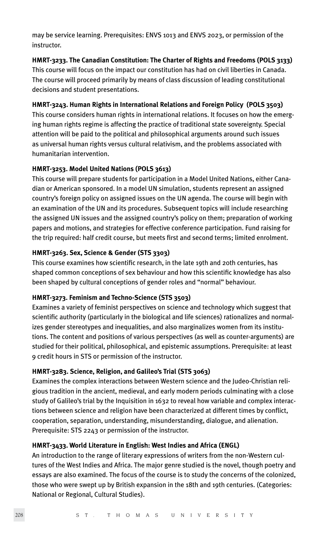may be service learning. Prerequisites: ENVS 1013 and ENVS 2023, or permission of the instructor.

## **HMRT-3233. The Canadian Constitution: The Charter of Rights and Freedoms (POLS 3133)**

This course will focus on the impact our constitution has had on civil liberties in Canada. The course will proceed primarily by means of class discussion of leading constitutional decisions and student presentations.

# **HMRT-3243. Human Rights in International Relations and Foreign Policy (POLS 3503)**

This course considers human rights in international relations. It focuses on how the emerging human rights regime is affecting the practice of traditional state sovereignty. Special attention will be paid to the political and philosophical arguments around such issues as universal human rights versus cultural relativism, and the problems associated with humanitarian intervention.

## **HMRT-3253. Model United Nations (POLS 3613)**

This course will prepare students for participation in a Model United Nations, either Canadian or American sponsored. In a model UN simulation, students represent an assigned country's foreign policy on assigned issues on the UN agenda. The course will begin with an examination of the UN and its procedures. Subsequent topics will include researching the assigned UN issues and the assigned country's policy on them; preparation of working papers and motions, and strategies for effective conference participation. Fund raising for the trip required: half credit course, but meets first and second terms; limited enrolment.

# **HMRT-3263. Sex, Science & Gender (STS 3303)**

This course examines how scientific research, in the late 19th and 20th centuries, has shaped common conceptions of sex behaviour and how this scientific knowledge has also been shaped by cultural conceptions of gender roles and "normal" behaviour.

# **HMRT-3273. Feminism and Techno-Science (STS 3503)**

Examines a variety of feminist perspectives on science and technology which suggest that scientific authority (particularly in the biological and life sciences) rationalizes and normalizes gender stereotypes and inequalities, and also marginalizes women from its institutions. The content and positions of various perspectives (as well as counter-arguments) are studied for their political, philosophical, and epistemic assumptions. Prerequisite: at least 9 credit hours in STS or permission of the instructor.

# **HMRT-3283. Science, Religion, and Galileo's Trial (STS 3063)**

Examines the complex interactions between Western science and the Judeo-Christian religious tradition in the ancient, medieval, and early modern periods culminating with a close study of Galileo's trial by the Inquisition in 1632 to reveal how variable and complex interactions between science and religion have been characterized at different times by conflict, cooperation, separation, understanding, misunderstanding, dialogue, and alienation. Prerequisite: STS 2243 or permission of the instructor.

## **HMRT-3433. World Literature in English: West Indies and Africa (ENGL)**

An introduction to the range of literary expressions of writers from the non-Western cultures of the West Indies and Africa. The major genre studied is the novel, though poetry and essays are also examined. The focus of the course is to study the concerns of the colonized, those who were swept up by British expansion in the 18th and 19th centuries. (Categories: National or Regional, Cultural Studies).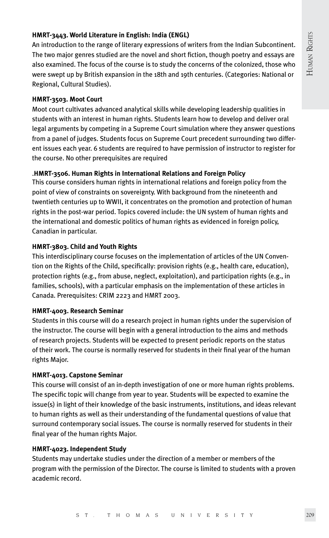# **HMRT-3443. World Literature in English: India (ENGL)**

An introduction to the range of literary expressions of writers from the Indian Subcontinent. The two major genres studied are the novel and short fiction, though poetry and essays are also examined. The focus of the course is to study the concerns of the colonized, those who were swept up by British expansion in the 18th and 19th centuries. (Categories: National or Regional, Cultural Studies).

## **HMRT-3503. Moot Court**

Moot court cultivates advanced analytical skills while developing leadership qualities in students with an interest in human rights. Students learn how to develop and deliver oral legal arguments by competing in a Supreme Court simulation where they answer questions from a panel of judges. Students focus on Supreme Court precedent surrounding two different issues each year. 6 students are required to have permission of instructor to register for the course. No other prerequisites are required

# .**HMRT-3506. Human Rights in International Relations and Foreign Policy**

This course considers human rights in international relations and foreign policy from the point of view of constraints on sovereignty. With background from the nineteenth and twentieth centuries up to WWII, it concentrates on the promotion and protection of human rights in the post-war period. Topics covered include: the UN system of human rights and the international and domestic politics of human rights as evidenced in foreign policy, Canadian in particular.

## **HMRT-3803. Child and Youth Rights**

This interdisciplinary course focuses on the implementation of articles of the UN Convention on the Rights of the Child, specifically: provision rights (e.g., health care, education), protection rights (e.g., from abuse, neglect, exploitation), and participation rights (e.g., in families, schools), with a particular emphasis on the implementation of these articles in Canada. Prerequisites: CRIM 2223 and HMRT 2003.

## **HMRT-4003. Research Seminar**

Students in this course will do a research project in human rights under the supervision of the instructor. The course will begin with a general introduction to the aims and methods of research projects. Students will be expected to present periodic reports on the status of their work. The course is normally reserved for students in their final year of the human rights Major.

## **HMRT-4013. Capstone Seminar**

This course will consist of an in-depth investigation of one or more human rights problems. The specific topic will change from year to year. Students will be expected to examine the issue(s) in light of their knowledge of the basic instruments, institutions, and ideas relevant to human rights as well as their understanding of the fundamental questions of value that surround contemporary social issues. The course is normally reserved for students in their final year of the human rights Major.

## **HMRT-4023. Independent Study**

Students may undertake studies under the direction of a member or members of the program with the permission of the Director. The course is limited to students with a proven academic record.